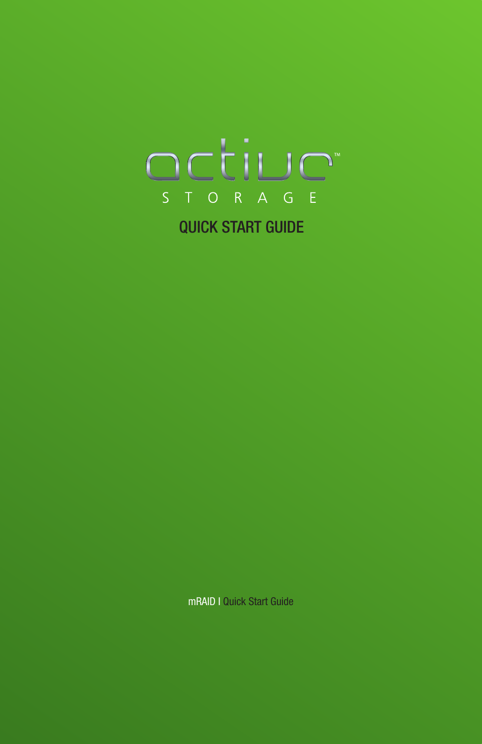

mRAID I Quick Start Guide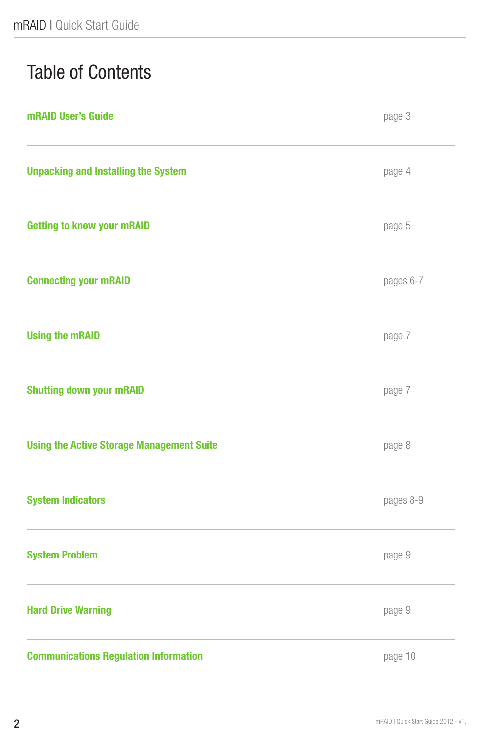# Table of Contents

| mRAID User's Guide                               | page 3    |
|--------------------------------------------------|-----------|
| <b>Unpacking and Installing the System</b>       | page 4    |
| <b>Getting to know your mRAID</b>                | page 5    |
| <b>Connecting your mRAID</b>                     | pages 6-7 |
| <b>Using the mRAID</b>                           | page 7    |
| <b>Shutting down your mRAID</b>                  | page 7    |
| <b>Using the Active Storage Management Suite</b> | page 8    |
| <b>System Indicators</b>                         | pages 8-9 |
| <b>System Problem</b>                            | page 9    |
| <b>Hard Drive Warning</b>                        | page 9    |
| <b>Communications Regulation Information</b>     | page 10   |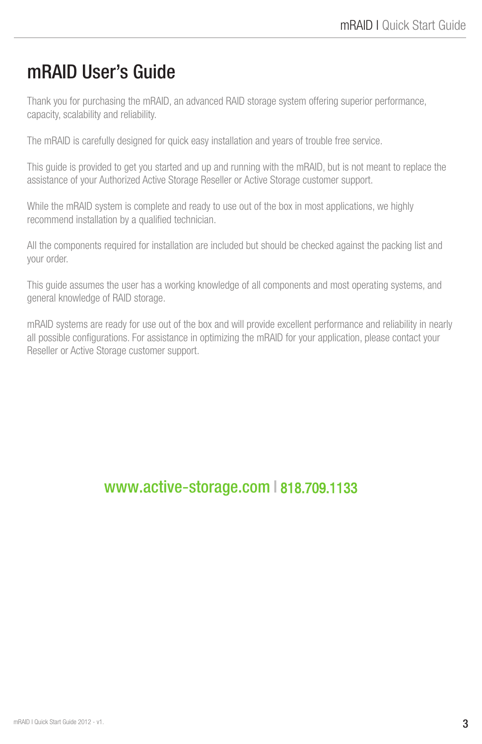### mRAID User's Guide

Thank you for purchasing the mRAID, an advanced RAID storage system offering superior performance, capacity, scalability and reliability.

The mRAID is carefully designed for quick easy installation and years of trouble free service.

This guide is provided to get you started and up and running with the mRAID, but is not meant to replace the assistance of your Authorized Active Storage Reseller or Active Storage customer support.

While the mRAID system is complete and ready to use out of the box in most applications, we highly recommend installation by a qualified technician.

All the components required for installation are included but should be checked against the packing list and your order.

This guide assumes the user has a working knowledge of all components and most operating systems, and general knowledge of RAID storage.

mRAID systems are ready for use out of the box and will provide excellent performance and reliability in nearly all possible configurations. For assistance in optimizing the mRAID for your application, please contact your Reseller or Active Storage customer support.

#### www.active-storage.com I 818.709.1133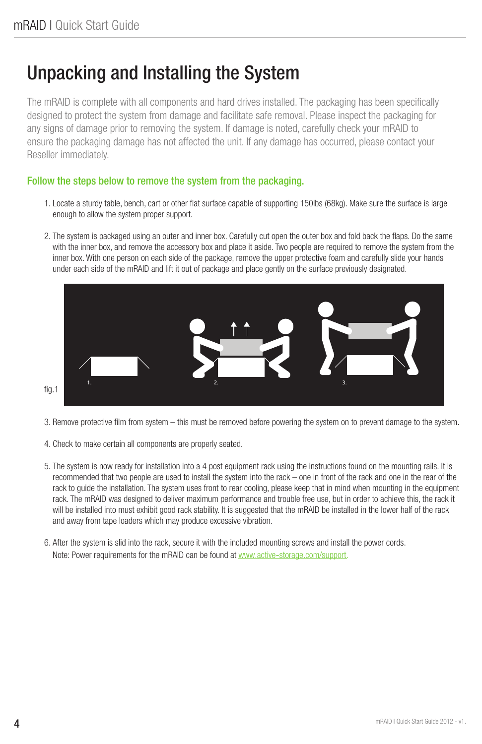### Unpacking and Installing the System

The mRAID is complete with all components and hard drives installed. The packaging has been specifically designed to protect the system from damage and facilitate safe removal. Please inspect the packaging for any signs of damage prior to removing the system. If damage is noted, carefully check your mRAID to ensure the packaging damage has not affected the unit. If any damage has occurred, please contact your Reseller immediately.

#### Follow the steps below to remove the system from the packaging.

- 1. Locate a sturdy table, bench, cart or other flat surface capable of supporting 150lbs (68kg). Make sure the surface is large enough to allow the system proper support.
- 2. The system is packaged using an outer and inner box. Carefully cut open the outer box and fold back the flaps. Do the same with the inner box, and remove the accessory box and place it aside. Two people are required to remove the system from the inner box. With one person on each side of the package, remove the upper protective foam and carefully slide your hands under each side of the mRAID and lift it out of package and place gently on the surface previously designated.



3. Remove protective film from system – this must be removed before powering the system on to prevent damage to the system.

- 4. Check to make certain all components are properly seated.
- 5. The system is now ready for installation into a 4 post equipment rack using the instructions found on the mounting rails. It is recommended that two people are used to install the system into the rack – one in front of the rack and one in the rear of the rack to guide the installation. The system uses front to rear cooling, please keep that in mind when mounting in the equipment rack. The mRAID was designed to deliver maximum performance and trouble free use, but in order to achieve this, the rack it will be installed into must exhibit good rack stability. It is suggested that the mRAID be installed in the lower half of the rack and away from tape loaders which may produce excessive vibration.
- 6. After the system is slid into the rack, secure it with the included mounting screws and install the power cords. Note: Power requirements for the mRAID can be found at www.active-storage.com/support.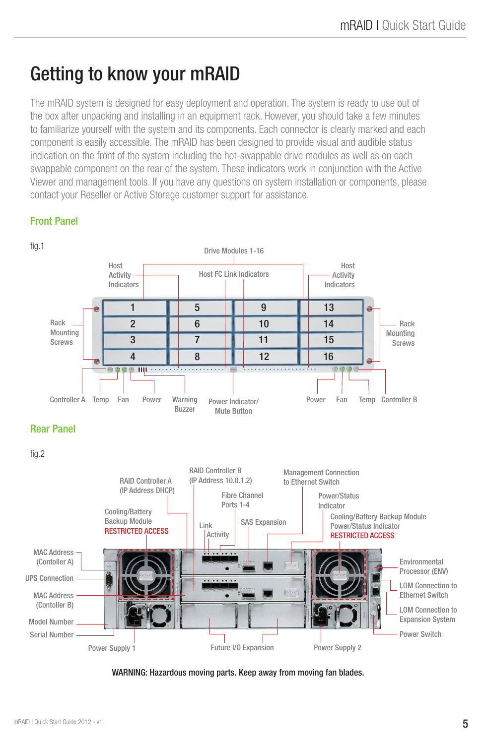## Getting to know your mRAID

The mRAID system is designed for easy deployment and operation. The system is ready to use out of the box after unpacking and installing in an equipment rack. However, you should take a few minutes to familiarize yourself with the system and its components. Each connector is clearly marked and each component is easily accessible. The mRAID has been designed to provide visual and audible status indication on the front of the system including the hot-swappable drive modules as well as on each swappable component on the rear of the system. These indicators work in conjunction with the Active Viewer and management tools. If you have any questions on system installation or components, please contact your Reseller or Active Storage customer support for assistance.

#### Front Panel



WARNING: Hazardous moving parts. Keep away from moving fan blades.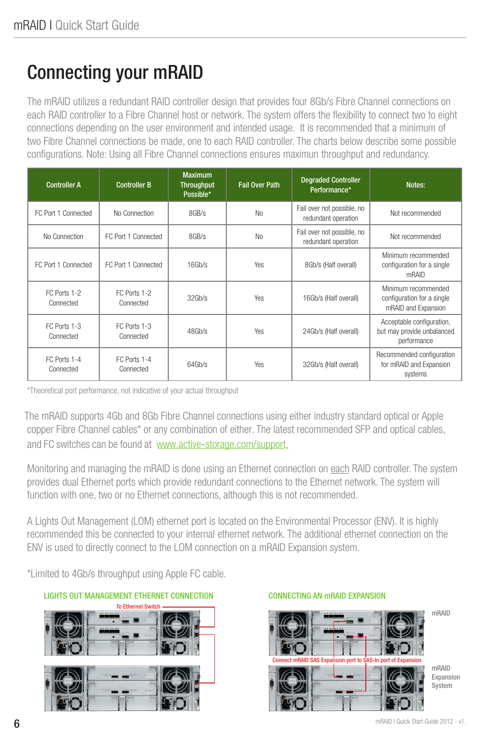# Connecting your mRAID

The mRAID utilizes a redundant RAID controller design that provides four 8Gb/s Fibre Channel connections on each RAID controller to a Fibre Channel host or network. The system offers the flexibility to connect two to eight connections depending on the user environment and intended usage. It is recommended that a minimum of two Fibre Channel connections be made, one to each RAID controller. The charts below describe some possible configurations. Note: Using all Fibre Channel connections ensures maximun throughput and redundancy.

| <b>Controller A</b>       | <b>Controller B</b>       | <b>Maximum</b><br><b>Throughput</b><br>Possible* | <b>Fail Over Path</b> | <b>Degraded Controller</b><br>Performance*        | Notes:                                                                   |
|---------------------------|---------------------------|--------------------------------------------------|-----------------------|---------------------------------------------------|--------------------------------------------------------------------------|
| FC Port 1 Connected       | No Connection             | 8GB/s                                            | N <sub>0</sub>        | Fail over not possible, no<br>redundant operation | Not recommended                                                          |
| No Connection             | FC Port 1 Connected       | $8$ GB/s                                         | N <sub>0</sub>        | Fail over not possible, no<br>redundant operation | Not recommended                                                          |
| FC Port 1 Connected       | FC Port 1 Connected       | 16Gb/s                                           | Yes                   | 8Gb/s (Half overall)                              | Minimum recommended<br>configuration for a single<br>mRAID               |
| FC Ports 1-2<br>Connected | FC Ports 1-2<br>Connected | 32Gh/s                                           | <b>Yes</b>            | 16Gb/s (Half overall)                             | Minimum recommended<br>configuration for a single<br>mRAID and Expansion |
| FC Ports 1-3<br>Connected | FC Ports 1-3<br>Connected | 48Gh/s                                           | <b>Yes</b>            | 24Gb/s (Half overall)                             | Acceptable configuration,<br>but may provide unbalanced<br>performance   |
| FC Ports 1-4<br>Connected | FC Ports 1-4<br>Connected | 64Gh/s                                           | <b>Yes</b>            | 32Gb/s (Half overall)                             | Recommended configuration<br>for mRAID and Expansion<br>systems          |

\*Theoretical port performance, not indicative of your actual throughput

The mRAID supports 4Gb and 8Gb Fibre Channel connections using either industry standard optical or Apple copper Fibre Channel cables\* or any combination of either. The latest recommended SFP and optical cables, and FC switches can be found at www.active-storage.com/support.

Monitoring and managing the mRAID is done using an Ethernet connection on each RAID controller. The system provides dual Ethernet ports which provide redundant connections to the Ethernet network. The system will function with one, two or no Ethernet connections, although this is not recommended.

A Lights Out Management (LOM) ethernet port is located on the Environmental Processor (ENV). It is highly recommended this be connected to your internal ethernet network. The additional ethernet connection on the ENV is used to directly connect to the LOM connection on a mRAID Expansion system.

\*Limited to 4Gb/s throughput using Apple FC cable.



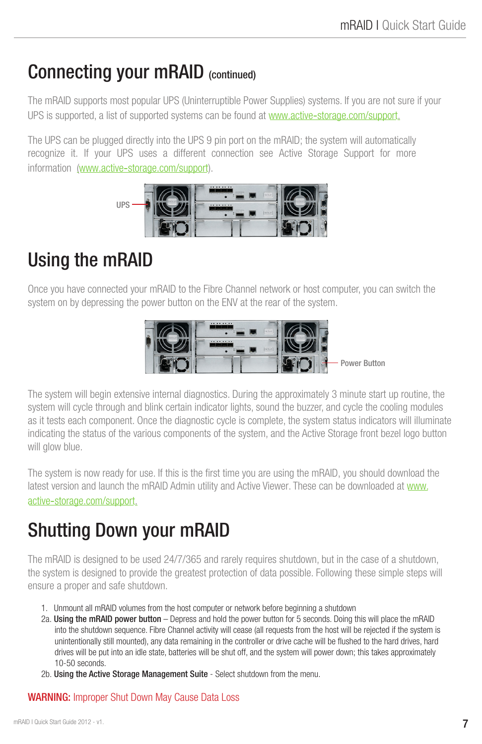### Connecting your mRAID (continued)

The mRAID supports most popular UPS (Uninterruptible Power Supplies) systems. If you are not sure if your UPS is supported, a list of supported systems can be found at www.active-storage.com/support.

The UPS can be plugged directly into the UPS 9 pin port on the mRAID; the system will automatically recognize it. If your UPS uses a different connection see Active Storage Support for more information (www.active-storage.com/support).



# Using the mRAID

Once you have connected your mRAID to the Fibre Channel network or host computer, you can switch the system on by depressing the power button on the ENV at the rear of the system.



The system will begin extensive internal diagnostics. During the approximately 3 minute start up routine, the system will cycle through and blink certain indicator lights, sound the buzzer, and cycle the cooling modules as it tests each component. Once the diagnostic cycle is complete, the system status indicators will illuminate indicating the status of the various components of the system, and the Active Storage front bezel logo button will glow blue.

The system is now ready for use. If this is the first time you are using the mRAID, you should download the latest version and launch the mRAID Admin utility and Active Viewer. These can be downloaded at www. active-storage.com/support.

# Shutting Down your mRAID

The mRAID is designed to be used 24/7/365 and rarely requires shutdown, but in the case of a shutdown, the system is designed to provide the greatest protection of data possible. Following these simple steps will ensure a proper and safe shutdown.

- 1. Unmount all mRAID volumes from the host computer or network before beginning a shutdown
- 2a. Using the mRAID power button Depress and hold the power button for 5 seconds. Doing this will place the mRAID into the shutdown sequence. Fibre Channel activity will cease (all requests from the host will be rejected if the system is unintentionally still mounted), any data remaining in the controller or drive cache will be flushed to the hard drives, hard drives will be put into an idle state, batteries will be shut off, and the system will power down; this takes approximately 10-50 seconds.
- 2b. Using the Active Storage Management Suite Select shutdown from the menu.

#### WARNING: Improper Shut Down May Cause Data Loss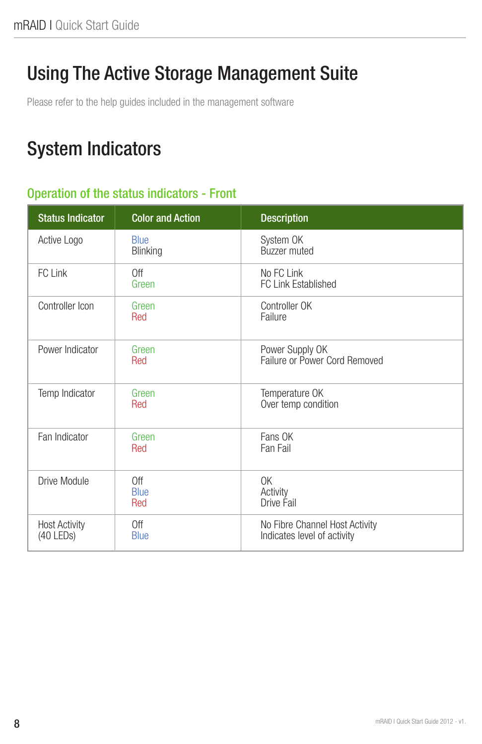# Using The Active Storage Management Suite

Please refer to the help guides included in the management software

## System Indicators

#### Operation of the status indicators - Front

| <b>Status Indicator</b>             | <b>Color and Action</b>   | <b>Description</b>                                            |
|-------------------------------------|---------------------------|---------------------------------------------------------------|
| Active Logo                         | <b>Blue</b><br>Blinking   | System OK<br>Buzzer muted                                     |
| FC Link                             | 0ff<br>Green              | No FC Link<br>FC Link Established                             |
| Controller Icon                     | Green<br>Red              | Controller OK<br>Failure                                      |
| Power Indicator                     | Green<br>Red              | Power Supply OK<br>Failure or Power Cord Removed              |
| Temp Indicator                      | Green<br>Red              | Temperature OK<br>Over temp condition                         |
| Fan Indicator                       | Green<br>Red              | Fans OK<br>Fan Fail                                           |
| Drive Module                        | Off<br><b>Blue</b><br>Red | 0K<br>Activity<br>Drive Fail                                  |
| <b>Host Activity</b><br>$(40$ LEDs) | Off<br><b>Blue</b>        | No Fibre Channel Host Activity<br>Indicates level of activity |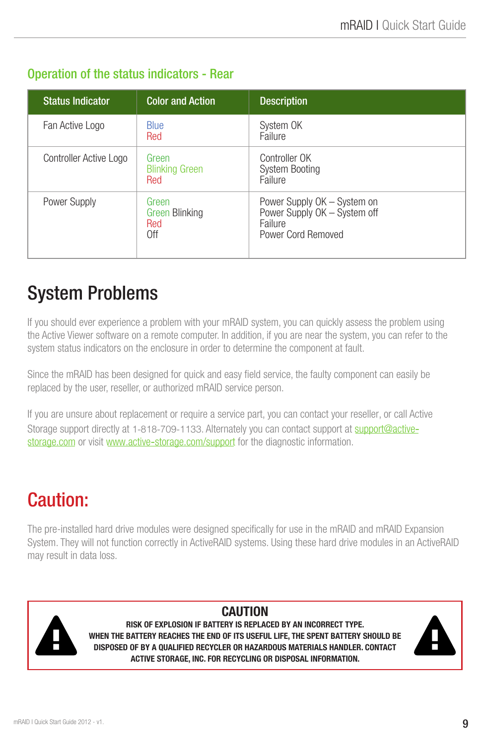#### Operation of the status indicators - Rear

| <b>Status Indicator</b> | <b>Color and Action</b>                      | <b>Description</b>                                                                           |
|-------------------------|----------------------------------------------|----------------------------------------------------------------------------------------------|
| Fan Active Logo         | <b>Blue</b><br>Red                           | System OK<br>Failure                                                                         |
| Controller Active Logo  | Green<br><b>Blinking Green</b><br>Red        | Controller OK<br><b>System Booting</b><br>Failure                                            |
| Power Supply            | Green<br><b>Green Blinking</b><br>Red<br>0ff | Power Supply OK – System on<br>Power Supply OK - System off<br>Failure<br>Power Cord Removed |

# System Problems

If you should ever experience a problem with your mRAID system, you can quickly assess the problem using the Active Viewer software on a remote computer. In addition, if you are near the system, you can refer to the system status indicators on the enclosure in order to determine the component at fault.

Since the mRAID has been designed for quick and easy field service, the faulty component can easily be replaced by the user, reseller, or authorized mRAID service person.

If you are unsure about replacement or require a service part, you can contact your reseller, or call Active Storage support directly at 1-818-709-1133. Alternately you can contact support at support@activestorage.com or visit www.active-storage.com/support for the diagnostic information.

# Caution:

The pre-installed hard drive modules were designed specifically for use in the mRAID and mRAID Expansion System. They will not function correctly in ActiveRAID systems. Using these hard drive modules in an ActiveRAID may result in data loss.



CAUTION

RISK OF EXPLOSION IF BATTERY IS REPLACED BY AN INCORRECT TYPE. WHEN THE BATTERY REACHES THE END OF ITS USEFUL LIFE, THE SPENT BATTERY SHOULD BE DISPOSED OF BY A QUALIFIED RECYCLER OR HAZARDOUS MATERIALS HANDLER. CONTACT ACTIVE STORAGE, INC. FOR RECYCLING OR DISPOSAL INFORMATION.

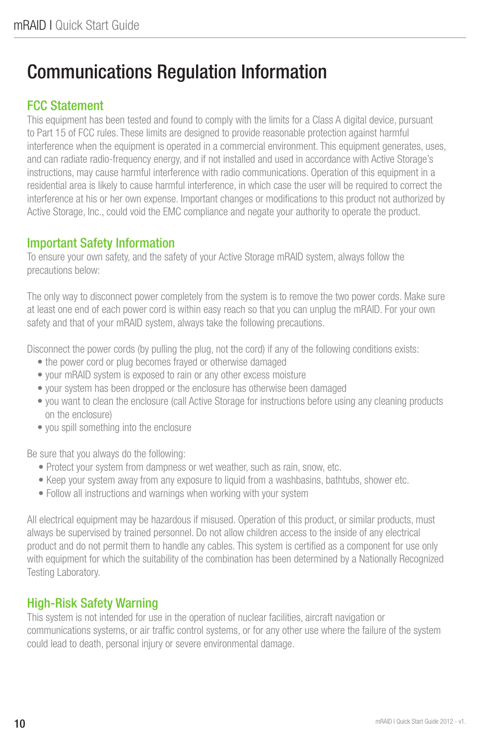## Communications Regulation Information

#### FCC Statement

This equipment has been tested and found to comply with the limits for a Class A digital device, pursuant to Part 15 of FCC rules. These limits are designed to provide reasonable protection against harmful interference when the equipment is operated in a commercial environment. This equipment generates, uses, and can radiate radio-frequency energy, and if not installed and used in accordance with Active Storage's instructions, may cause harmful interference with radio communications. Operation of this equipment in a residential area is likely to cause harmful interference, in which case the user will be required to correct the interference at his or her own expense. Important changes or modifications to this product not authorized by Active Storage, Inc., could void the EMC compliance and negate your authority to operate the product.

#### Important Safety Information

To ensure your own safety, and the safety of your Active Storage mRAID system, always follow the precautions below:

The only way to disconnect power completely from the system is to remove the two power cords. Make sure at least one end of each power cord is within easy reach so that you can unplug the mRAID. For your own safety and that of your mRAID system, always take the following precautions.

Disconnect the power cords (by pulling the plug, not the cord) if any of the following conditions exists:

- the power cord or plug becomes frayed or otherwise damaged
- your mRAID system is exposed to rain or any other excess moisture
- your system has been dropped or the enclosure has otherwise been damaged
- you want to clean the enclosure (call Active Storage for instructions before using any cleaning products on the enclosure)
- you spill something into the enclosure

Be sure that you always do the following:

- Protect your system from dampness or wet weather, such as rain, snow, etc.
- Keep your system away from any exposure to liquid from a washbasins, bathtubs, shower etc.
- Follow all instructions and warnings when working with your system

All electrical equipment may be hazardous if misused. Operation of this product, or similar products, must always be supervised by trained personnel. Do not allow children access to the inside of any electrical product and do not permit them to handle any cables. This system is certified as a component for use only with equipment for which the suitability of the combination has been determined by a Nationally Recognized Testing Laboratory.

#### High-Risk Safety Warning

This system is not intended for use in the operation of nuclear facilities, aircraft navigation or communications systems, or air traffic control systems, or for any other use where the failure of the system could lead to death, personal injury or severe environmental damage.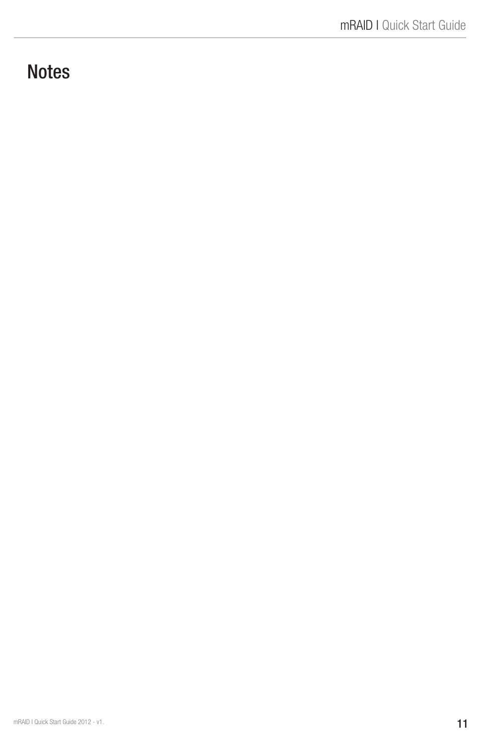### **Notes**